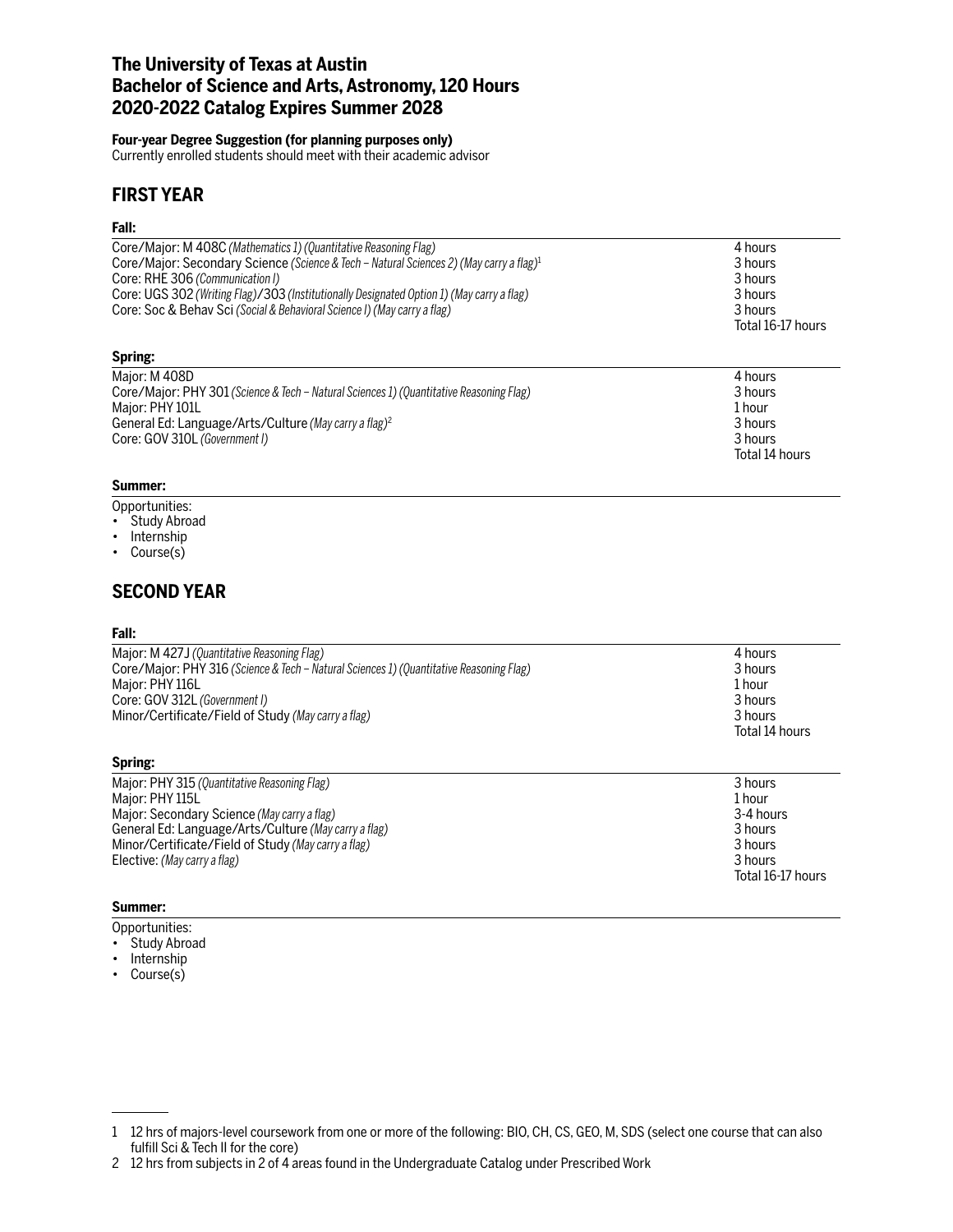# **The University of Texas at Austin Bachelor of Science and Arts, Astronomy, 120 Hours 2020-2022 Catalog Expires Summer 2028**

#### **Four-year Degree Suggestion (for planning purposes only)**

Currently enrolled students should meet with their academic advisor

# **FIRST YEAR**

### **Fall:**

| .                                                                                                   |                   |
|-----------------------------------------------------------------------------------------------------|-------------------|
| Core/Major: M 408C (Mathematics 1) (Quantitative Reasoning Flag)                                    | 4 hours           |
| Core/Major: Secondary Science (Science & Tech - Natural Sciences 2) (May carry a flag) <sup>1</sup> | 3 hours           |
| Core: RHE 306 (Communication I)                                                                     | 3 hours           |
| Core: UGS 302 (Writing Flag)/303 (Institutionally Designated Option 1) (May carry a flag)           | 3 hours           |
| Core: Soc & Behav Sci (Social & Behavioral Science I) (May carry a flag)                            | 3 hours           |
|                                                                                                     | Total 16-17 hours |
| Spring:                                                                                             |                   |
| Major: M 408D                                                                                       | 4 hours           |
| Core/Major: PHY 301 (Science & Tech – Natural Sciences 1) (Quantitative Reasoning Flag)             | 3 hours           |
| Major: PHY 101L                                                                                     | 1 hour            |
| General Ed: Language/Arts/Culture (May carry a flag) <sup>2</sup>                                   | 3 hours           |
| Core: GOV 310L (Government I)                                                                       | 3 hours           |
|                                                                                                     | Total 14 hours    |

### **Summer:**

- Opportunities:
- Study Abroad
- Internship
- Course(s)

# **SECOND YEAR**

### **Fall:**

| 4 hours        |
|----------------|
| 3 hours        |
| 1 hour         |
| 3 hours        |
| 3 hours        |
| Total 14 hours |
|                |

### **Spring:**

| Major: PHY 315 (Quantitative Reasoning Flag)         | 3 hours           |
|------------------------------------------------------|-------------------|
| Major: PHY 115L                                      | 1 hour            |
| Major: Secondary Science (May carry a flag)          | 3-4 hours         |
| General Ed: Language/Arts/Culture (May carry a flag) | 3 hours           |
| Minor/Certificate/Field of Study (May carry a flag)  | 3 hours           |
| Elective: (May carry a flag)                         | 3 hours           |
|                                                      | Total 16-17 hours |

### **Summer:**

- Opportunities:
- Study Abroad • Internship
- Course(s)

<sup>1</sup> 12 hrs of majors-level coursework from one or more of the following: BIO, CH, CS, GEO, M, SDS (select one course that can also fulfill Sci & Tech II for the core)

<sup>2 12</sup> hrs from subjects in 2 of 4 areas found in the Undergraduate Catalog under Prescribed Work